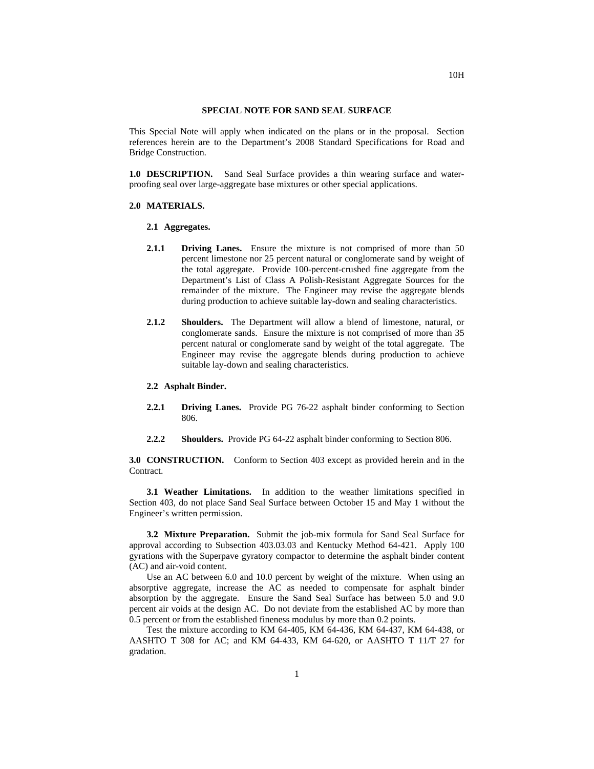## **SPECIAL NOTE FOR SAND SEAL SURFACE**

This Special Note will apply when indicated on the plans or in the proposal. Section references herein are to the Department's 2008 Standard Specifications for Road and Bridge Construction.

**1.0 DESCRIPTION.** Sand Seal Surface provides a thin wearing surface and waterproofing seal over large-aggregate base mixtures or other special applications.

## **2.0 MATERIALS.**

## **2.1 Aggregates.**

- **2.1.1 Driving Lanes.** Ensure the mixture is not comprised of more than 50 percent limestone nor 25 percent natural or conglomerate sand by weight of the total aggregate. Provide 100-percent-crushed fine aggregate from the Department's List of Class A Polish-Resistant Aggregate Sources for the remainder of the mixture. The Engineer may revise the aggregate blends during production to achieve suitable lay-down and sealing characteristics.
- **2.1.2 Shoulders.** The Department will allow a blend of limestone, natural, or conglomerate sands. Ensure the mixture is not comprised of more than 35 percent natural or conglomerate sand by weight of the total aggregate. The Engineer may revise the aggregate blends during production to achieve suitable lay-down and sealing characteristics.

## **2.2 Asphalt Binder.**

- **2.2.1 Driving Lanes.** Provide PG 76-22 asphalt binder conforming to Section 806.
- **2.2.2 Shoulders.** Provide PG 64-22 asphalt binder conforming to Section 806.

**3.0 CONSTRUCTION.** Conform to Section 403 except as provided herein and in the Contract.

**3.1 Weather Limitations.** In addition to the weather limitations specified in Section 403, do not place Sand Seal Surface between October 15 and May 1 without the Engineer's written permission.

**3.2 Mixture Preparation.** Submit the job-mix formula for Sand Seal Surface for approval according to Subsection 403.03.03 and Kentucky Method 64-421. Apply 100 gyrations with the Superpave gyratory compactor to determine the asphalt binder content (AC) and air-void content.

Use an AC between 6.0 and 10.0 percent by weight of the mixture. When using an absorptive aggregate, increase the AC as needed to compensate for asphalt binder absorption by the aggregate. Ensure the Sand Seal Surface has between 5.0 and 9.0 percent air voids at the design AC. Do not deviate from the established AC by more than 0.5 percent or from the established fineness modulus by more than 0.2 points.

Test the mixture according to KM 64-405, KM 64-436, KM 64-437, KM 64-438, or AASHTO T 308 for AC; and KM 64-433, KM 64-620, or AASHTO T 11/T 27 for gradation.